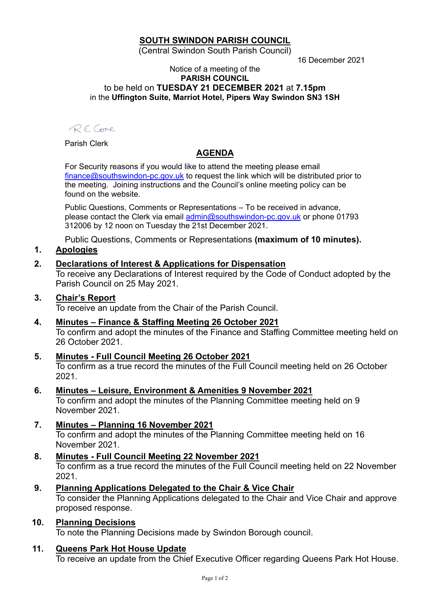# **SOUTH SWINDON PARISH COUNCIL**

(Central Swindon South Parish Council)

16 December 2021

#### Notice of a meeting of the **PARISH COUNCIL** to be held on **TUESDAY 21 DECEMBER 2021** at **7.15pm** in the **Uffington Suite, Marriot Hotel, Pipers Way Swindon SN3 1SH**

RECore

Parish Clerk

# **AGENDA**

For Security reasons if you would like to attend the meeting please email [finance@southswindon-pc.gov.uk](mailto:finance@southswindon-pc.gov.uk) to request the link which will be distributed prior to the meeting. Joining instructions and the Council's online meeting policy can be found on the website.

Public Questions, Comments or Representations – To be received in advance, please contact the Clerk via email [admin@southswindon-pc.gov.uk](mailto:admin@southswindon-pc.gov.uk) or phone 01793 312006 by 12 noon on Tuesday the 21st December 2021.

Public Questions, Comments or Representations **(maximum of 10 minutes).**

# **1. Apologies**

# **2. Declarations of Interest & Applications for Dispensation**

To receive any Declarations of Interest required by the Code of Conduct adopted by the Parish Council on 25 May 2021.

# **3. Chair's Report**

To receive an update from the Chair of the Parish Council.

- **4. Minutes – Finance & Staffing Meeting 26 October 2021** To confirm and adopt the minutes of the Finance and Staffing Committee meeting held on 26 October 2021.
- **5. Minutes - Full Council Meeting 26 October 2021** To confirm as a true record the minutes of the Full Council meeting held on 26 October 2021.
- **6. Minutes – Leisure, Environment & Amenities 9 November 2021**

To confirm and adopt the minutes of the Planning Committee meeting held on 9 November 2021.

- **7. Minutes – Planning 16 November 2021** To confirm and adopt the minutes of the Planning Committee meeting held on 16 November 2021.
- **8. Minutes - Full Council Meeting 22 November 2021** To confirm as a true record the minutes of the Full Council meeting held on 22 November 2021.
- **9. Planning Applications Delegated to the Chair & Vice Chair** To consider the Planning Applications delegated to the Chair and Vice Chair and approve proposed response.
- **10. Planning Decisions** To note the Planning Decisions made by Swindon Borough council.

### **11. Queens Park Hot House Update**

To receive an update from the Chief Executive Officer regarding Queens Park Hot House.